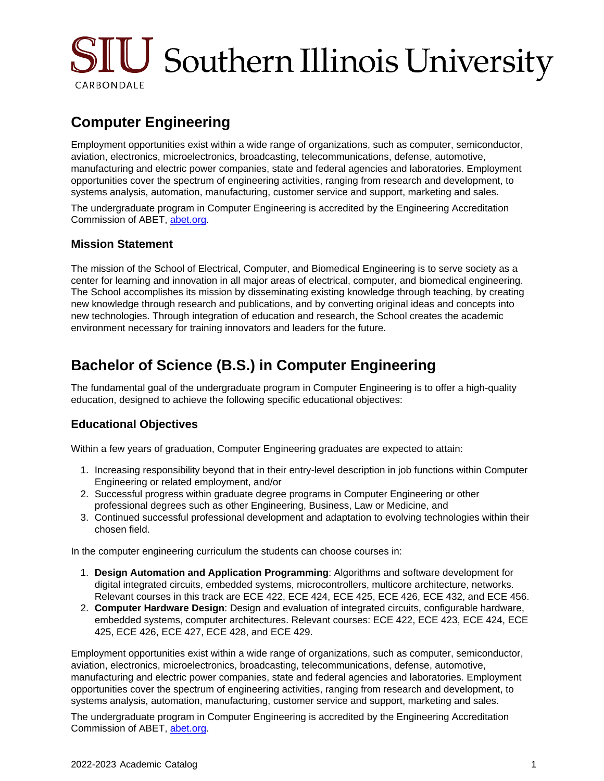# SIU Southern Illinois University CARBONDALE

# **Computer Engineering**

Employment opportunities exist within a wide range of organizations, such as computer, semiconductor, aviation, electronics, microelectronics, broadcasting, telecommunications, defense, automotive, manufacturing and electric power companies, state and federal agencies and laboratories. Employment opportunities cover the spectrum of engineering activities, ranging from research and development, to systems analysis, automation, manufacturing, customer service and support, marketing and sales.

The undergraduate program in Computer Engineering is accredited by the Engineering Accreditation Commission of ABET, [abet.org](https://www.abet.org/).

### **Mission Statement**

The mission of the School of Electrical, Computer, and Biomedical Engineering is to serve society as a center for learning and innovation in all major areas of electrical, computer, and biomedical engineering. The School accomplishes its mission by disseminating existing knowledge through teaching, by creating new knowledge through research and publications, and by converting original ideas and concepts into new technologies. Through integration of education and research, the School creates the academic environment necessary for training innovators and leaders for the future.

## **Bachelor of Science (B.S.) in Computer Engineering**

The fundamental goal of the undergraduate program in Computer Engineering is to offer a high-quality education, designed to achieve the following specific educational objectives:

## **Educational Objectives**

Within a few years of graduation, Computer Engineering graduates are expected to attain:

- 1. Increasing responsibility beyond that in their entry-level description in job functions within Computer Engineering or related employment, and/or
- 2. Successful progress within graduate degree programs in Computer Engineering or other professional degrees such as other Engineering, Business, Law or Medicine, and
- 3. Continued successful professional development and adaptation to evolving technologies within their chosen field.

In the computer engineering curriculum the students can choose courses in:

- 1. **Design Automation and Application Programming**: Algorithms and software development for digital integrated circuits, embedded systems, microcontrollers, multicore architecture, networks. Relevant courses in this track are ECE 422, ECE 424, ECE 425, ECE 426, ECE 432, and ECE 456.
- 2. **Computer Hardware Design**: Design and evaluation of integrated circuits, configurable hardware, embedded systems, computer architectures. Relevant courses: ECE 422, ECE 423, ECE 424, ECE 425, ECE 426, ECE 427, ECE 428, and ECE 429.

Employment opportunities exist within a wide range of organizations, such as computer, semiconductor, aviation, electronics, microelectronics, broadcasting, telecommunications, defense, automotive, manufacturing and electric power companies, state and federal agencies and laboratories. Employment opportunities cover the spectrum of engineering activities, ranging from research and development, to systems analysis, automation, manufacturing, customer service and support, marketing and sales.

The undergraduate program in Computer Engineering is accredited by the Engineering Accreditation Commission of ABET, [abet.org](https://www.abet.org/).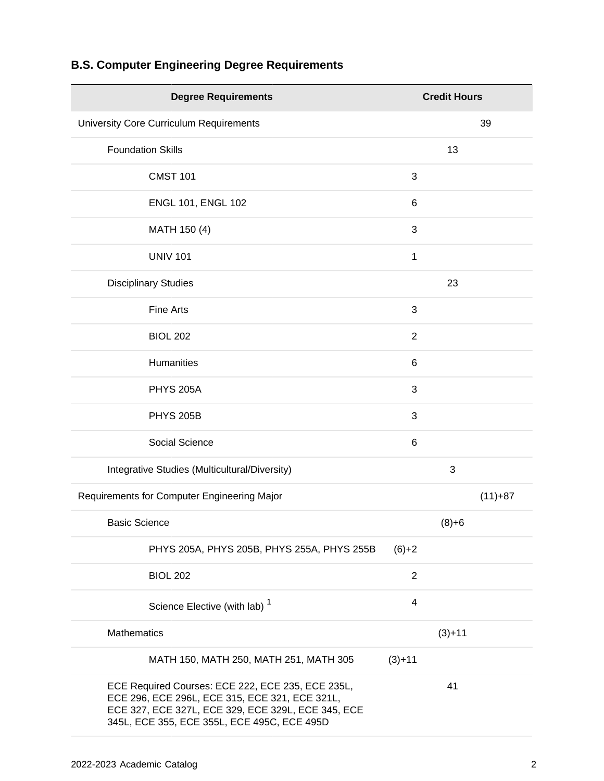| <b>Degree Requirements</b>                                                                                                                                                                               |                | <b>Credit Hours</b> |           |
|----------------------------------------------------------------------------------------------------------------------------------------------------------------------------------------------------------|----------------|---------------------|-----------|
| University Core Curriculum Requirements                                                                                                                                                                  |                |                     | 39        |
| <b>Foundation Skills</b>                                                                                                                                                                                 |                | 13                  |           |
| <b>CMST 101</b>                                                                                                                                                                                          | 3              |                     |           |
| <b>ENGL 101, ENGL 102</b>                                                                                                                                                                                | 6              |                     |           |
| MATH 150 (4)                                                                                                                                                                                             | 3              |                     |           |
| <b>UNIV 101</b>                                                                                                                                                                                          | 1              |                     |           |
| <b>Disciplinary Studies</b>                                                                                                                                                                              |                | 23                  |           |
| <b>Fine Arts</b>                                                                                                                                                                                         | 3              |                     |           |
| <b>BIOL 202</b>                                                                                                                                                                                          | $\overline{2}$ |                     |           |
| Humanities                                                                                                                                                                                               | 6              |                     |           |
| <b>PHYS 205A</b>                                                                                                                                                                                         | 3              |                     |           |
| <b>PHYS 205B</b>                                                                                                                                                                                         | 3              |                     |           |
| Social Science                                                                                                                                                                                           | 6              |                     |           |
| Integrative Studies (Multicultural/Diversity)                                                                                                                                                            |                | 3                   |           |
| Requirements for Computer Engineering Major                                                                                                                                                              |                |                     | $(11)+87$ |
| <b>Basic Science</b>                                                                                                                                                                                     |                | $(8)+6$             |           |
| PHYS 205A, PHYS 205B, PHYS 255A, PHYS 255B                                                                                                                                                               | $(6)+2$        |                     |           |
| <b>BIOL 202</b>                                                                                                                                                                                          | $\overline{2}$ |                     |           |
| Science Elective (with lab) <sup>1</sup>                                                                                                                                                                 | 4              |                     |           |
| <b>Mathematics</b>                                                                                                                                                                                       |                | $(3)+11$            |           |
| MATH 150, MATH 250, MATH 251, MATH 305                                                                                                                                                                   | $(3)+11$       |                     |           |
| ECE Required Courses: ECE 222, ECE 235, ECE 235L,<br>ECE 296, ECE 296L, ECE 315, ECE 321, ECE 321L,<br>ECE 327, ECE 327L, ECE 329, ECE 329L, ECE 345, ECE<br>345L, ECE 355, ECE 355L, ECE 495C, ECE 495D |                | 41                  |           |

## **B.S. Computer Engineering Degree Requirements**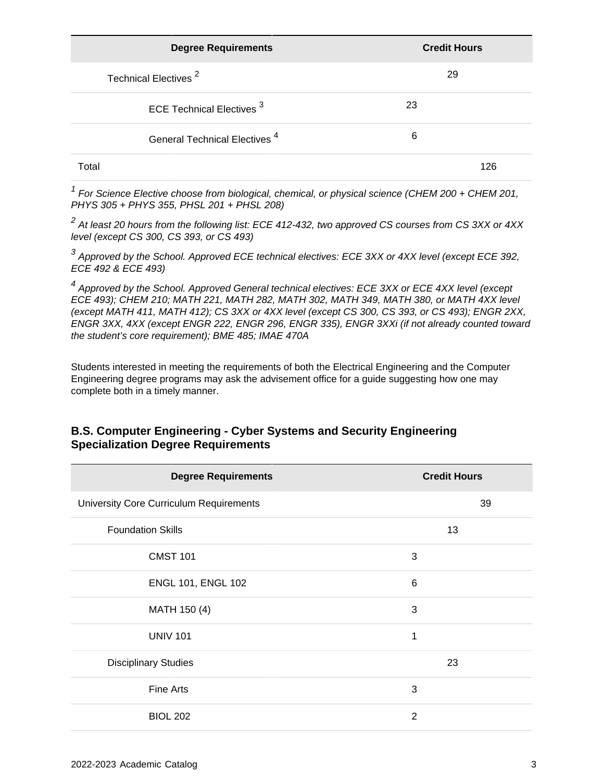| <b>Degree Requirements</b>               | <b>Credit Hours</b> |
|------------------------------------------|---------------------|
| Technical Electives <sup>2</sup>         | 29                  |
| ECE Technical Electives <sup>3</sup>     | 23                  |
| General Technical Electives <sup>4</sup> | 6                   |
| Total                                    | 126                 |

 $1$  For Science Elective choose from biological, chemical, or physical science (CHEM 200 + CHEM 201, PHYS 305 + PHYS 355, PHSL 201 + PHSL 208)

 $^2$  At least 20 hours from the following list: ECE 412-432, two approved CS courses from CS 3XX or 4XX level (except CS 300, CS 393, or CS 493)

 $^3$  Approved by the School. Approved ECE technical electives: ECE 3XX or 4XX level (except ECE 392, ECE 492 & ECE 493)

<sup>4</sup> Approved by the School. Approved General technical electives: ECE 3XX or ECE 4XX level (except ECE 493); CHEM 210; MATH 221, MATH 282, MATH 302, MATH 349, MATH 380, or MATH 4XX level (except MATH 411, MATH 412); CS 3XX or 4XX level (except CS 300, CS 393, or CS 493); ENGR 2XX, ENGR 3XX, 4XX (except ENGR 222, ENGR 296, ENGR 335), ENGR 3XXi (if not already counted toward the student's core requirement); BME 485; IMAE 470A

Students interested in meeting the requirements of both the Electrical Engineering and the Computer Engineering degree programs may ask the advisement office for a guide suggesting how one may complete both in a timely manner.

| <b>Degree Requirements</b>              | <b>Credit Hours</b> |  |  |
|-----------------------------------------|---------------------|--|--|
| University Core Curriculum Requirements | 39                  |  |  |
| <b>Foundation Skills</b>                | 13                  |  |  |
| <b>CMST 101</b>                         | 3                   |  |  |
| ENGL 101, ENGL 102                      | 6                   |  |  |
| MATH 150 (4)                            | 3                   |  |  |
| <b>UNIV 101</b>                         | 1                   |  |  |
| <b>Disciplinary Studies</b>             | 23                  |  |  |
| <b>Fine Arts</b>                        | 3                   |  |  |
| <b>BIOL 202</b>                         | $\overline{2}$      |  |  |

## **B.S. Computer Engineering - Cyber Systems and Security Engineering Specialization Degree Requirements**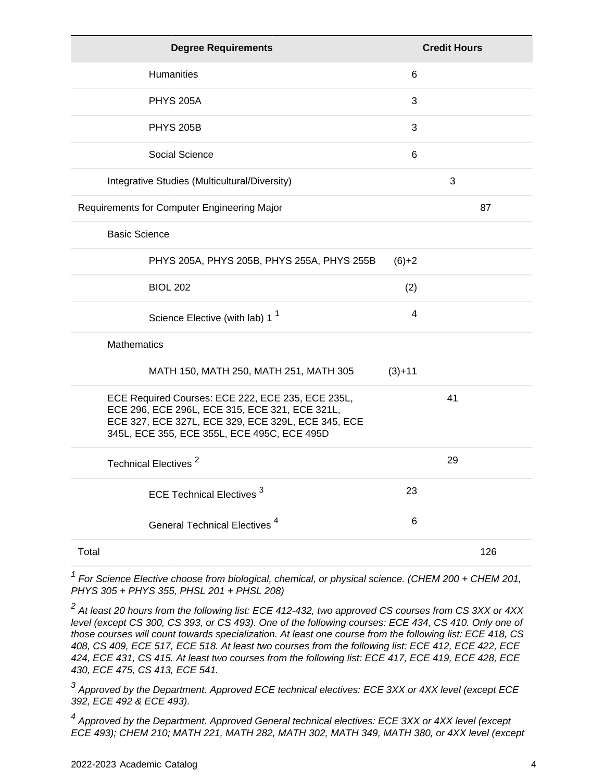| <b>Degree Requirements</b>                                                                                                                                                                               |          | <b>Credit Hours</b> |
|----------------------------------------------------------------------------------------------------------------------------------------------------------------------------------------------------------|----------|---------------------|
| <b>Humanities</b>                                                                                                                                                                                        | 6        |                     |
| <b>PHYS 205A</b>                                                                                                                                                                                         | 3        |                     |
| <b>PHYS 205B</b>                                                                                                                                                                                         | 3        |                     |
| Social Science                                                                                                                                                                                           | 6        |                     |
| Integrative Studies (Multicultural/Diversity)                                                                                                                                                            |          | 3                   |
| Requirements for Computer Engineering Major                                                                                                                                                              |          | 87                  |
| <b>Basic Science</b>                                                                                                                                                                                     |          |                     |
| PHYS 205A, PHYS 205B, PHYS 255A, PHYS 255B                                                                                                                                                               | $(6)+2$  |                     |
| <b>BIOL 202</b>                                                                                                                                                                                          | (2)      |                     |
| Science Elective (with lab) 1 <sup>1</sup>                                                                                                                                                               | 4        |                     |
| <b>Mathematics</b>                                                                                                                                                                                       |          |                     |
| MATH 150, MATH 250, MATH 251, MATH 305                                                                                                                                                                   | $(3)+11$ |                     |
| ECE Required Courses: ECE 222, ECE 235, ECE 235L,<br>ECE 296, ECE 296L, ECE 315, ECE 321, ECE 321L,<br>ECE 327, ECE 327L, ECE 329, ECE 329L, ECE 345, ECE<br>345L, ECE 355, ECE 355L, ECE 495C, ECE 495D |          | 41                  |
| Technical Electives <sup>2</sup>                                                                                                                                                                         |          | 29                  |
| <b>ECE Technical Electives<sup>3</sup></b>                                                                                                                                                               | 23       |                     |
| General Technical Electives <sup>4</sup>                                                                                                                                                                 | 6        |                     |
| Total                                                                                                                                                                                                    |          | 126                 |

 $1$  For Science Elective choose from biological, chemical, or physical science. (CHEM 200 + CHEM 201, PHYS 305 + PHYS 355, PHSL 201 + PHSL 208)

 $^2$  At least 20 hours from the following list: ECE 412-432, two approved CS courses from CS 3XX or 4XX level (except CS 300, CS 393, or CS 493). One of the following courses: ECE 434, CS 410. Only one of those courses will count towards specialization. At least one course from the following list: ECE 418, CS 408, CS 409, ECE 517, ECE 518. At least two courses from the following list: ECE 412, ECE 422, ECE 424, ECE 431, CS 415. At least two courses from the following list: ECE 417, ECE 419, ECE 428, ECE 430, ECE 475, CS 413, ECE 541.

 $^3$  Approved by the Department. Approved ECE technical electives: ECE 3XX or 4XX level (except ECE 392, ECE 492 & ECE 493).

<sup>4</sup> Approved by the Department. Approved General technical electives: ECE 3XX or 4XX level (except ECE 493); CHEM 210; MATH 221, MATH 282, MATH 302, MATH 349, MATH 380, or 4XX level (except